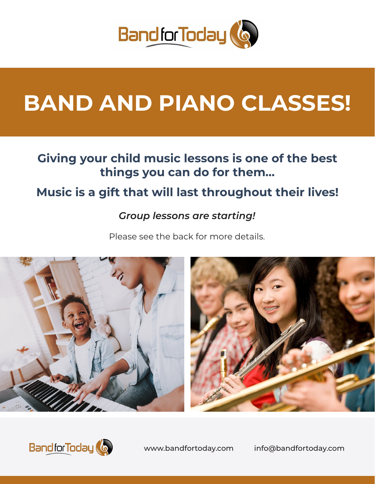

# **BAND AND PIANO CLASSES!**

## **Giving your child music lessons is one of the best things you can do for them…**

## **Music is a gift that will last throughout their lives!**

## *Group lessons are starting!*

Please see the back for more details.





www.bandfortoday.com info@bandfortoday.com